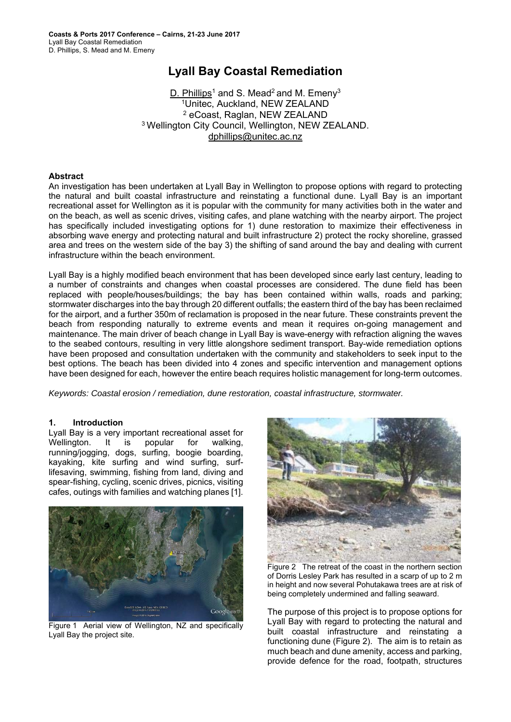# **Lyall Bay Coastal Remediation**

D. Phillips<sup>1</sup> and S. Mead<sup>2</sup> and M. Emeny<sup>3</sup> 1Unitec, Auckland, NEW ZEALAND 2 eCoast, Raglan, NEW ZEALAND 3 Wellington City Council, Wellington, NEW ZEALAND. dphillips@unitec.ac.nz

#### **Abstract**

An investigation has been undertaken at Lyall Bay in Wellington to propose options with regard to protecting the natural and built coastal infrastructure and reinstating a functional dune. Lyall Bay is an important recreational asset for Wellington as it is popular with the community for many activities both in the water and on the beach, as well as scenic drives, visiting cafes, and plane watching with the nearby airport. The project has specifically included investigating options for 1) dune restoration to maximize their effectiveness in absorbing wave energy and protecting natural and built infrastructure 2) protect the rocky shoreline, grassed area and trees on the western side of the bay 3) the shifting of sand around the bay and dealing with current infrastructure within the beach environment.

Lyall Bay is a highly modified beach environment that has been developed since early last century, leading to a number of constraints and changes when coastal processes are considered. The dune field has been replaced with people/houses/buildings; the bay has been contained within walls, roads and parking; stormwater discharges into the bay through 20 different outfalls; the eastern third of the bay has been reclaimed for the airport, and a further 350m of reclamation is proposed in the near future. These constraints prevent the beach from responding naturally to extreme events and mean it requires on-going management and maintenance. The main driver of beach change in Lyall Bay is wave-energy with refraction aligning the waves to the seabed contours, resulting in very little alongshore sediment transport. Bay-wide remediation options have been proposed and consultation undertaken with the community and stakeholders to seek input to the best options. The beach has been divided into 4 zones and specific intervention and management options have been designed for each, however the entire beach requires holistic management for long-term outcomes.

*Keywords: Coastal erosion / remediation, dune restoration, coastal infrastructure, stormwater.* 

#### **1. Introduction**

Lyall Bay is a very important recreational asset for Wellington. It is popular for walking, running/jogging, dogs, surfing, boogie boarding, kayaking, kite surfing and wind surfing, surflifesaving, swimming, fishing from land, diving and spear-fishing, cycling, scenic drives, picnics, visiting cafes, outings with families and watching planes [1].



Figure 1 Aerial view of Wellington, NZ and specifically Lyall Bay the project site.



Figure 2 The retreat of the coast in the northern section of Dorris Lesley Park has resulted in a scarp of up to 2 m in height and now several Pohutakawa trees are at risk of being completely undermined and falling seaward.

The purpose of this project is to propose options for Lyall Bay with regard to protecting the natural and built coastal infrastructure and reinstating a functioning dune (Figure 2). The aim is to retain as much beach and dune amenity, access and parking, provide defence for the road, footpath, structures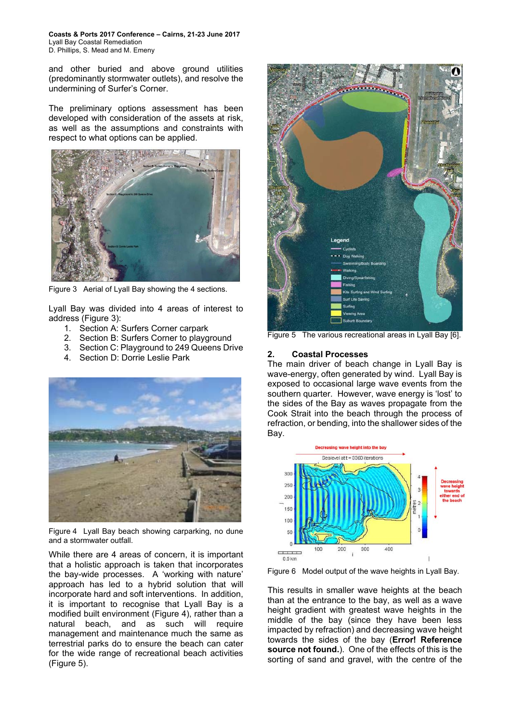**Coasts & Ports 2017 Conference – Cairns, 21-23 June 2017**  Lyall Bay Coastal Remediation D. Phillips, S. Mead and M. Emeny

and other buried and above ground utilities (predominantly stormwater outlets), and resolve the undermining of Surfer's Corner.

The preliminary options assessment has been developed with consideration of the assets at risk, as well as the assumptions and constraints with respect to what options can be applied.



Figure 3 Aerial of Lyall Bay showing the 4 sections.

Lyall Bay was divided into 4 areas of interest to address (Figure 3):

- 1. Section A: Surfers Corner carpark
- 2. Section B: Surfers Corner to playground
- 3. Section C: Playground to 249 Queens Drive
- 4. Section D: Dorrie Leslie Park



Figure 4 Lyall Bay beach showing carparking, no dune and a stormwater outfall.

While there are 4 areas of concern, it is important that a holistic approach is taken that incorporates the bay-wide processes. A 'working with nature' approach has led to a hybrid solution that will incorporate hard and soft interventions. In addition, it is important to recognise that Lyall Bay is a modified built environment (Figure 4), rather than a natural beach, and as such will require management and maintenance much the same as terrestrial parks do to ensure the beach can cater for the wide range of recreational beach activities (Figure 5).



Figure 5 The various recreational areas in Lyall Bay [6].

#### **2. Coastal Processes**

The main driver of beach change in Lyall Bay is wave-energy, often generated by wind. Lyall Bay is exposed to occasional large wave events from the southern quarter. However, wave energy is 'lost' to the sides of the Bay as waves propagate from the Cook Strait into the beach through the process of refraction, or bending, into the shallower sides of the Bay.



Figure 6 Model output of the wave heights in Lyall Bay.

This results in smaller wave heights at the beach than at the entrance to the bay, as well as a wave height gradient with greatest wave heights in the middle of the bay (since they have been less impacted by refraction) and decreasing wave height towards the sides of the bay (**Error! Reference source not found.**). One of the effects of this is the sorting of sand and gravel, with the centre of the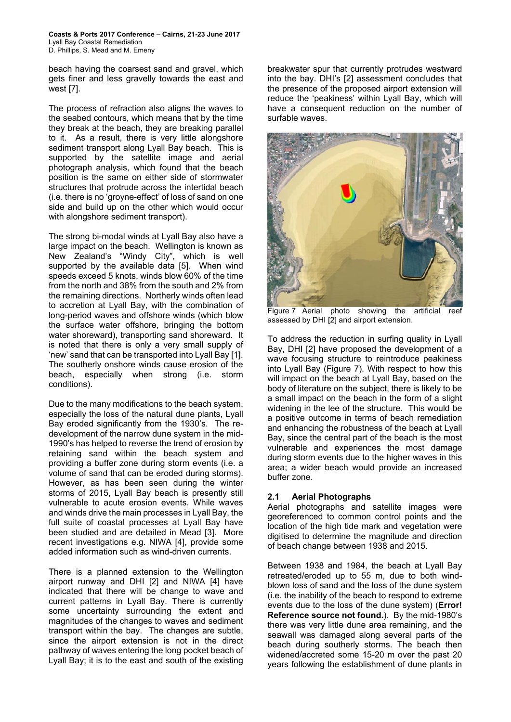**Coasts & Ports 2017 Conference – Cairns, 21-23 June 2017**  Lyall Bay Coastal Remediation D. Phillips, S. Mead and M. Emeny

beach having the coarsest sand and gravel, which gets finer and less gravelly towards the east and west [7].

The process of refraction also aligns the waves to the seabed contours, which means that by the time they break at the beach, they are breaking parallel to it. As a result, there is very little alongshore sediment transport along Lyall Bay beach. This is supported by the satellite image and aerial photograph analysis, which found that the beach position is the same on either side of stormwater structures that protrude across the intertidal beach (i.e. there is no 'groyne-effect' of loss of sand on one side and build up on the other which would occur with alongshore sediment transport).

The strong bi-modal winds at Lyall Bay also have a large impact on the beach. Wellington is known as New Zealand's "Windy City", which is well supported by the available data [5]. When wind speeds exceed 5 knots, winds blow 60% of the time from the north and 38% from the south and 2% from the remaining directions. Northerly winds often lead to accretion at Lyall Bay, with the combination of long-period waves and offshore winds (which blow the surface water offshore, bringing the bottom water shoreward), transporting sand shoreward. It is noted that there is only a very small supply of 'new' sand that can be transported into Lyall Bay [1]. The southerly onshore winds cause erosion of the beach, especially when strong (i.e. storm conditions).

Due to the many modifications to the beach system, especially the loss of the natural dune plants, Lyall Bay eroded significantly from the 1930's. The redevelopment of the narrow dune system in the mid-1990's has helped to reverse the trend of erosion by retaining sand within the beach system and providing a buffer zone during storm events (i.e. a volume of sand that can be eroded during storms). However, as has been seen during the winter storms of 2015, Lyall Bay beach is presently still vulnerable to acute erosion events. While waves and winds drive the main processes in Lyall Bay, the full suite of coastal processes at Lyall Bay have been studied and are detailed in Mead [3]. More recent investigations e.g. NIWA [4], provide some added information such as wind-driven currents.

There is a planned extension to the Wellington airport runway and DHI [2] and NIWA [4] have indicated that there will be change to wave and current patterns in Lyall Bay. There is currently some uncertainty surrounding the extent and magnitudes of the changes to waves and sediment transport within the bay. The changes are subtle, since the airport extension is not in the direct pathway of waves entering the long pocket beach of Lyall Bay; it is to the east and south of the existing

breakwater spur that currently protrudes westward into the bay. DHI's [2] assessment concludes that the presence of the proposed airport extension will reduce the 'peakiness' within Lyall Bay, which will have a consequent reduction on the number of surfable waves.



Figure 7 Aerial photo showing the artificial reef assessed by DHI [2] and airport extension.

To address the reduction in surfing quality in Lyall Bay, DHI [2] have proposed the development of a wave focusing structure to reintroduce peakiness into Lyall Bay (Figure 7). With respect to how this will impact on the beach at Lyall Bay, based on the body of literature on the subject, there is likely to be a small impact on the beach in the form of a slight widening in the lee of the structure. This would be a positive outcome in terms of beach remediation and enhancing the robustness of the beach at Lyall Bay, since the central part of the beach is the most vulnerable and experiences the most damage during storm events due to the higher waves in this area; a wider beach would provide an increased buffer zone.

## **2.1 Aerial Photographs**

Aerial photographs and satellite images were georeferenced to common control points and the location of the high tide mark and vegetation were digitised to determine the magnitude and direction of beach change between 1938 and 2015.

Between 1938 and 1984, the beach at Lyall Bay retreated/eroded up to 55 m, due to both windblown loss of sand and the loss of the dune system (i.e. the inability of the beach to respond to extreme events due to the loss of the dune system) (**Error! Reference source not found.**). By the mid-1980's there was very little dune area remaining, and the seawall was damaged along several parts of the beach during southerly storms. The beach then widened/accreted some 15-20 m over the past 20 years following the establishment of dune plants in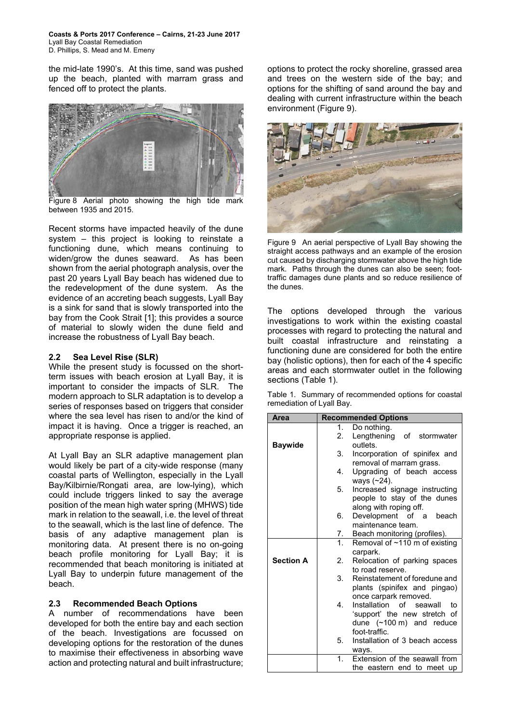**Coasts & Ports 2017 Conference – Cairns, 21-23 June 2017**  Lyall Bay Coastal Remediation D. Phillips, S. Mead and M. Emeny

the mid-late 1990's. At this time, sand was pushed up the beach, planted with marram grass and fenced off to protect the plants.



Figure 8 Aerial photo showing the high tide mark between 1935 and 2015.

Recent storms have impacted heavily of the dune system – this project is looking to reinstate a functioning dune, which means continuing to widen/grow the dunes seaward. As has been shown from the aerial photograph analysis, over the past 20 years Lyall Bay beach has widened due to the redevelopment of the dune system. As the evidence of an accreting beach suggests, Lyall Bay is a sink for sand that is slowly transported into the bay from the Cook Strait [1]; this provides a source of material to slowly widen the dune field and increase the robustness of Lyall Bay beach.

#### **2.2 Sea Level Rise (SLR)**

While the present study is focussed on the shortterm issues with beach erosion at Lyall Bay, it is important to consider the impacts of SLR. The modern approach to SLR adaptation is to develop a series of responses based on triggers that consider where the sea level has risen to and/or the kind of impact it is having. Once a trigger is reached, an appropriate response is applied.

At Lyall Bay an SLR adaptive management plan would likely be part of a city-wide response (many coastal parts of Wellington, especially in the Lyall Bay/Kilbirnie/Rongati area, are low-lying), which could include triggers linked to say the average position of the mean high water spring (MHWS) tide mark in relation to the seawall, i.e. the level of threat to the seawall, which is the last line of defence. The basis of any adaptive management plan is monitoring data. At present there is no on-going beach profile monitoring for Lyall Bay; it is recommended that beach monitoring is initiated at Lyall Bay to underpin future management of the beach.

## **2.3 Recommended Beach Options**

A number of recommendations have been developed for both the entire bay and each section of the beach. Investigations are focussed on developing options for the restoration of the dunes to maximise their effectiveness in absorbing wave action and protecting natural and built infrastructure;

options to protect the rocky shoreline, grassed area and trees on the western side of the bay; and options for the shifting of sand around the bay and dealing with current infrastructure within the beach environment (Figure 9).



Figure 9 An aerial perspective of Lyall Bay showing the straight access pathways and an example of the erosion cut caused by discharging stormwater above the high tide mark. Paths through the dunes can also be seen; foottraffic damages dune plants and so reduce resilience of the dunes.

The options developed through the various investigations to work within the existing coastal processes with regard to protecting the natural and built coastal infrastructure and reinstating a functioning dune are considered for both the entire bay (holistic options), then for each of the 4 specific areas and each stormwater outlet in the following sections (Table 1).

|                           | Table 1. Summary of recommended options for coastal |  |  |
|---------------------------|-----------------------------------------------------|--|--|
| remediation of Lyall Bay. |                                                     |  |  |

| Area             |                                    | <b>Recommended Options</b>             |  |  |  |
|------------------|------------------------------------|----------------------------------------|--|--|--|
|                  | 1.                                 | Do nothing.                            |  |  |  |
|                  | 2.                                 | Lengthening of stormwater              |  |  |  |
| <b>Baywide</b>   |                                    | outlets.                               |  |  |  |
|                  | 3.                                 | Incorporation of spinifex and          |  |  |  |
|                  |                                    | removal of marram grass.               |  |  |  |
|                  | 4.                                 | Upgrading of beach access              |  |  |  |
|                  |                                    | ways (~24).                            |  |  |  |
|                  | 5.                                 | Increased signage instructing          |  |  |  |
|                  |                                    | people to stay of the dunes            |  |  |  |
|                  |                                    | along with roping off.                 |  |  |  |
|                  | 6.                                 | Development of a beach                 |  |  |  |
|                  |                                    | maintenance team.                      |  |  |  |
|                  | 7.                                 | Beach monitoring (profiles).           |  |  |  |
|                  | 1 <sup>1</sup>                     | Removal of ~110 m of existing          |  |  |  |
|                  |                                    | carpark.                               |  |  |  |
| <b>Section A</b> | Relocation of parking spaces<br>2. |                                        |  |  |  |
|                  |                                    | to road reserve.                       |  |  |  |
|                  | 3.                                 | Reinstatement of foredune and          |  |  |  |
|                  |                                    | plants (spinifex and pingao)           |  |  |  |
|                  |                                    | once carpark removed.                  |  |  |  |
|                  | 4.                                 | Installation of seawall<br>to          |  |  |  |
|                  |                                    | 'support' the new stretch of           |  |  |  |
|                  |                                    | dune $(\sim 100 \text{ m})$ and reduce |  |  |  |
|                  |                                    | foot-traffic.                          |  |  |  |
|                  | 5.                                 | Installation of 3 beach access         |  |  |  |
|                  |                                    | ways.                                  |  |  |  |
|                  | 1.                                 | Extension of the seawall from          |  |  |  |
|                  |                                    | the eastern end to meet up             |  |  |  |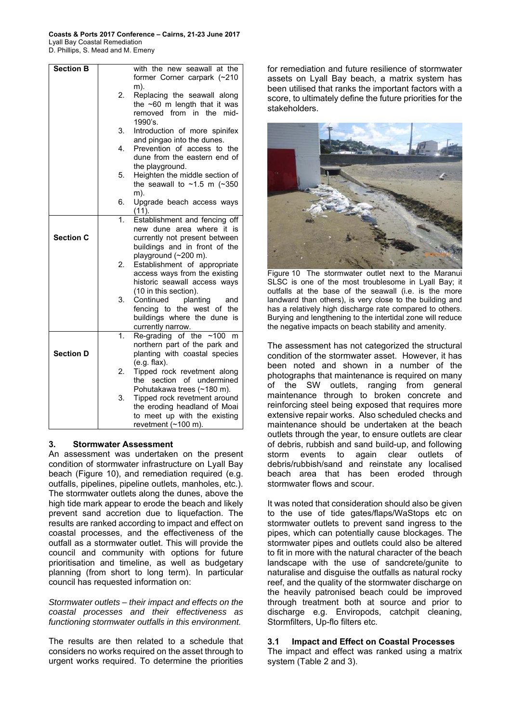| <b>Section B</b> |                           | with the new seawall at the              |
|------------------|---------------------------|------------------------------------------|
|                  |                           | former Corner carpark (~210              |
|                  |                           | m).                                      |
|                  | 2.                        | Replacing the seawall along              |
|                  |                           | the $~60$ m length that it was           |
|                  |                           | removed from in the<br>mid-              |
|                  |                           | 1990's.                                  |
|                  | 3.                        | Introduction of more spinifex            |
|                  |                           | and pingao into the dunes.               |
|                  | 4.                        | Prevention of access to the              |
|                  |                           | dune from the eastern end of             |
|                  |                           | the playground.                          |
|                  | 5.                        | Heighten the middle section of           |
|                  |                           | the seawall to $\sim$ 1.5 m ( $\sim$ 350 |
|                  |                           | m).                                      |
|                  | 6.                        | Upgrade beach access ways                |
|                  |                           | (11).                                    |
|                  | $\mathbf{1}$ .            | Establishment and fencing off            |
|                  |                           | new dune area where it is                |
| <b>Section C</b> |                           | currently not present between            |
|                  |                           | buildings and in front of the            |
|                  |                           | playground (~200 m).                     |
|                  | 2.                        | Establishment of appropriate             |
|                  |                           | access ways from the existing            |
|                  |                           | historic seawall access ways             |
|                  |                           | (10 in this section).                    |
|                  | 3.                        | planting<br>Continued<br>and             |
|                  |                           | fencing to the west of the               |
|                  |                           | buildings where the dune is              |
|                  |                           | currently narrow.                        |
|                  | $\overline{\mathbf{1}}$ . | Re-grading of the $~100$<br>m            |
|                  |                           | northern part of the park and            |
| <b>Section D</b> |                           | planting with coastal species            |
|                  |                           | $(e.g.$ flax).                           |
|                  | 2.                        | Tipped rock revetment along              |
|                  |                           | section of undermined<br>the             |
|                  |                           | Pohutakawa trees (~180 m).               |
|                  | 3.                        | Tipped rock revetment around             |
|                  |                           | the eroding headland of Moai             |
|                  |                           | to meet up with the existing             |
|                  |                           | revetment (~100 m).                      |

## **3. Stormwater Assessment**

An assessment was undertaken on the present condition of stormwater infrastructure on Lyall Bay beach (Figure 10), and remediation required (e.g. outfalls, pipelines, pipeline outlets, manholes, etc.). The stormwater outlets along the dunes, above the high tide mark appear to erode the beach and likely prevent sand accretion due to liquefaction. The results are ranked according to impact and effect on coastal processes, and the effectiveness of the outfall as a stormwater outlet. This will provide the council and community with options for future prioritisation and timeline, as well as budgetary planning (from short to long term). In particular council has requested information on:

*Stormwater outlets – their impact and effects on the coastal processes and their effectiveness as functioning stormwater outfalls in this environment.* 

The results are then related to a schedule that considers no works required on the asset through to urgent works required. To determine the priorities for remediation and future resilience of stormwater assets on Lyall Bay beach, a matrix system has been utilised that ranks the important factors with a score, to ultimately define the future priorities for the stakeholders.



Figure 10 The stormwater outlet next to the Maranui SLSC is one of the most troublesome in Lyall Bay; it outfalls at the base of the seawall (i.e. is the more landward than others), is very close to the building and has a relatively high discharge rate compared to others. Burying and lengthening to the intertidal zone will reduce the negative impacts on beach stability and amenity.

The assessment has not categorized the structural condition of the stormwater asset. However, it has been noted and shown in a number of the photographs that maintenance is required on many of the SW outlets, ranging from general maintenance through to broken concrete and reinforcing steel being exposed that requires more extensive repair works. Also scheduled checks and maintenance should be undertaken at the beach outlets through the year, to ensure outlets are clear of debris, rubbish and sand build-up, and following storm events to again clear outlets of debris/rubbish/sand and reinstate any localised beach area that has been eroded through stormwater flows and scour.

It was noted that consideration should also be given to the use of tide gates/flaps/WaStops etc on stormwater outlets to prevent sand ingress to the pipes, which can potentially cause blockages. The stormwater pipes and outlets could also be altered to fit in more with the natural character of the beach landscape with the use of sandcrete/gunite to naturalise and disguise the outfalls as natural rocky reef, and the quality of the stormwater discharge on the heavily patronised beach could be improved through treatment both at source and prior to discharge e.g. Enviropods, catchpit cleaning, Stormfilters, Up-flo filters etc.

## **3.1 Impact and Effect on Coastal Processes**

The impact and effect was ranked using a matrix system (Table 2 and 3).